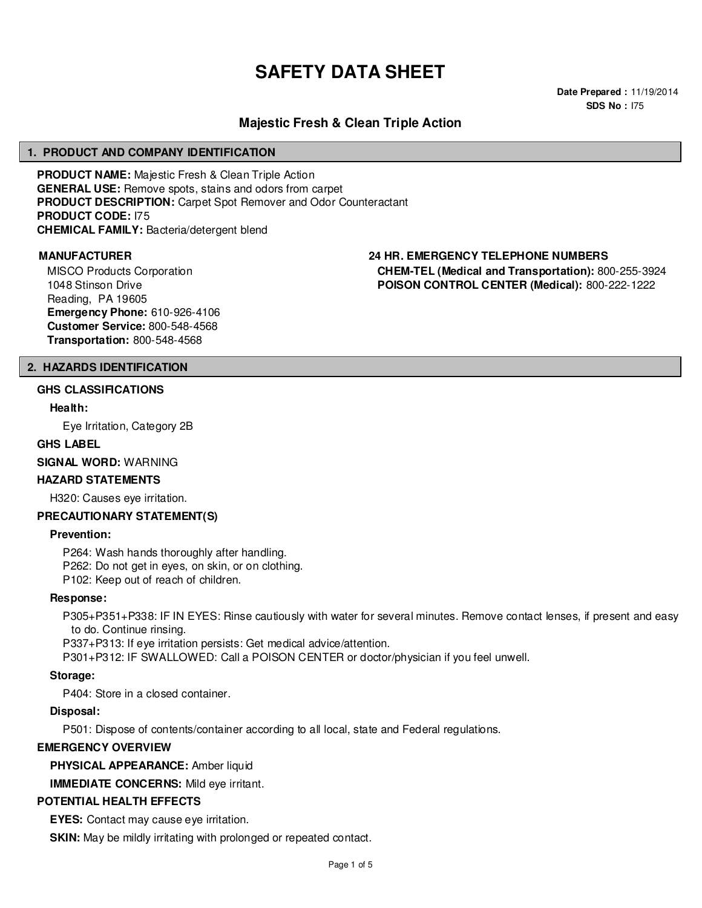# **SAFETY DATA SHEET**

**Date Prepared :** 11/19/2014 **SDS No :** I75

# **Majestic Fresh & Clean Triple Action**

## **1. PRODUCT AND COMPANY IDENTIFICATION**

**PRODUCT NAME:** Majestic Fresh & Clean Triple Action **GENERAL USE:** Remove spots, stains and odors from carpet **PRODUCT DESCRIPTION:** Carpet Spot Remover and Odor Counteractant **PRODUCT CODE:** I75 **CHEMICAL FAMILY:** Bacteria/detergent blend

MISCO Products Corporation 1048 Stinson Drive Reading, PA 19605 **Emergency Phone:** 610-926-4106 **Customer Service:** 800-548-4568 **Transportation:** 800-548-4568

# **MANUFACTURER 24 HR. EMERGENCY TELEPHONE NUMBERS**

**CHEM-TEL (Medical and Transportation):** 800-255-3924 **POISON CONTROL CENTER (Medical):** 800-222-1222

#### **2. HAZARDS IDENTIFICATION**

#### **GHS CLASSIFICATIONS**

**Health:**

Eye Irritation, Category 2B

#### **GHS LABEL**

**SIGNAL WORD:** WARNING

#### **HAZARD STATEMENTS**

H320: Causes eye irritation.

#### **PRECAUTIONARY STATEMENT(S)**

#### **Prevention:**

P264: Wash hands thoroughly after handling.

P262: Do not get in eyes, on skin, or on clothing.

P102: Keep out of reach of children.

#### **Response:**

P305+P351+P338: IF IN EYES: Rinse cautiously with water for several minutes. Remove contact lenses, if present and easy to do. Continue rinsing.

P337+P313: If eye irritation persists: Get medical advice/attention.

P301+P312: IF SWALLOWED: Call a POISON CENTER or doctor/physician if you feel unwell.

#### **Storage:**

P404: Store in a closed container.

# **Disposal:**

P501: Dispose of contents/container according to all local, state and Federal regulations.

#### **EMERGENCY OVERVIEW**

**PHYSICAL APPEARANCE:** Amber liquid

**IMMEDIATE CONCERNS:** Mild eve irritant.

# **POTENTIAL HEALTH EFFECTS**

**EYES:** Contact may cause eye irritation.

**SKIN:** May be mildly irritating with prolonged or repeated contact.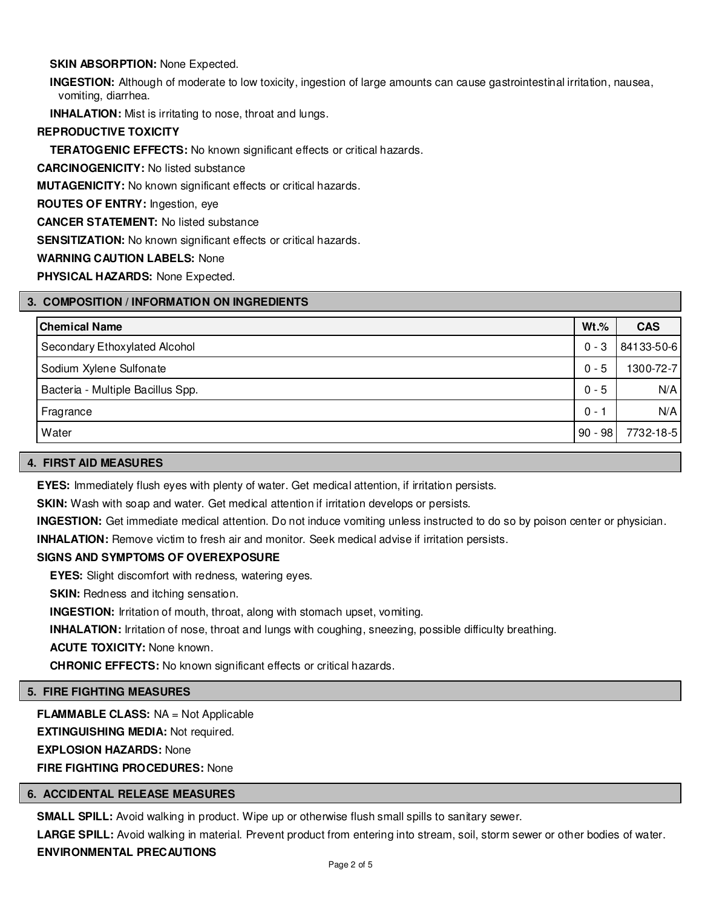# **SKIN ABSORPTION: None Expected.**

**INGESTION:** Although of moderate to low toxicity, ingestion of large amounts can cause gastrointestinal irritation, nausea, vomiting, diarrhea.

**INHALATION:** Mist is irritating to nose, throat and lungs.

# **REPRODUCTIVE TOXICITY**

**TERATOGENIC EFFECTS:** No known significant effects or critical hazards.

**CARCINOGENICITY:** No listed substance

**MUTAGENICITY:** No known significant effects or critical hazards.

**ROUTES OF ENTRY:** Ingestion, eye

**CANCER STATEMENT:** No listed substance

**SENSITIZATION:** No known significant effects or critical hazards.

# **WARNING CAUTION LABELS:** None

**PHYSICAL HAZARDS:** None Expected.

# **3. COMPOSITION / INFORMATION ON INGREDIENTS**

| <b>Chemical Name</b>              | $Wt.\%$ | <b>CAS</b> |
|-----------------------------------|---------|------------|
| Secondary Ethoxylated Alcohol     | $0 - 3$ | 84133-50-6 |
| Sodium Xylene Sulfonate           | $0 - 5$ | 1300-72-7  |
| Bacteria - Multiple Bacillus Spp. | $0 - 5$ | N/A        |
| Fragrance                         | $0 - 3$ | N/A        |
| Water                             | 90 - 98 | 7732-18-5  |

#### **4. FIRST AID MEASURES**

**EYES:** Immediately flush eyes with plenty of water. Get medical attention, if irritation persists.

**SKIN:** Wash with soap and water. Get medical attention if irritation develops or persists.

**INGESTION:** Get immediate medical attention. Do not induce vomiting unless instructed to do so by poison center or physician.

**INHALATION:** Remove victim to fresh air and monitor. Seek medical advise if irritation persists.

# **SIGNS AND SYMPTOMS OF OVEREXPOSURE**

**EYES:** Slight discomfort with redness, watering eyes.

**SKIN:** Redness and itching sensation.

**INGESTION:** Irritation of mouth, throat, along with stomach upset, vomiting.

**INHALATION:** Irritation of nose, throat and lungs with coughing, sneezing, possible difficulty breathing.

**ACUTE TOXICITY:** None known.

**CHRONIC EFFECTS:** No known significant effects or critical hazards.

#### **5. FIRE FIGHTING MEASURES**

**FLAMMABLE CLASS:** NA = Not Applicable **EXTINGUISHING MEDIA:** Not required. **EXPLOSION HAZARDS:** None **FIRE FIGHTING PROCEDURES:** None

# **6. ACCIDENTAL RELEASE MEASURES**

**SMALL SPILL:** Avoid walking in product. Wipe up or otherwise flush small spills to sanitary sewer.

LARGE SPILL: Avoid walking in material. Prevent product from entering into stream, soil, storm sewer or other bodies of water. **ENVIRONMENTAL PRECAUTIONS**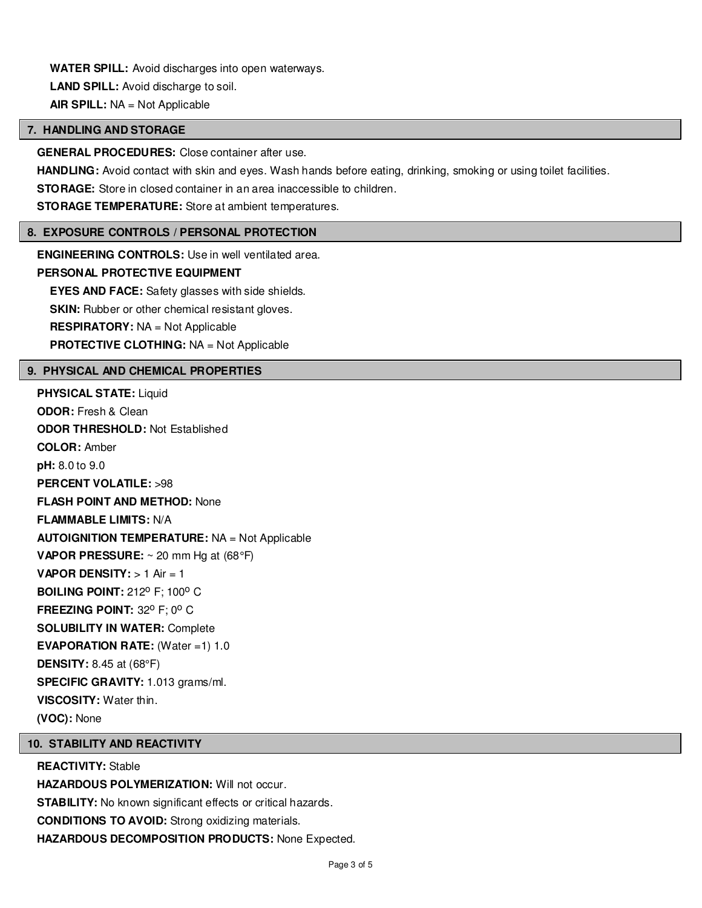**WATER SPILL:** Avoid discharges into open waterways. **LAND SPILL:** Avoid discharge to soil. **AIR SPILL:** NA = Not Applicable

## **7. HANDLING AND STORAGE**

#### **GENERAL PROCEDURES:** Close container after use.

**HANDLING:** Avoid contact with skin and eyes. Wash hands before eating, drinking, smoking or using toilet facilities.

**STORAGE:** Store in closed container in an area inaccessible to children.

**STORAGE TEMPERATURE:** Store at ambient temperatures.

#### **8. EXPOSURE CONTROLS / PERSONAL PROTECTION**

**ENGINEERING CONTROLS:** Use in well ventilated area.

# **PERSONAL PROTECTIVE EQUIPMENT**

**EYES AND FACE:** Safety glasses with side shields. **SKIN:** Rubber or other chemical resistant gloves. **RESPIRATORY:** NA = Not Applicable **PROTECTIVE CLOTHING:** NA = Not Applicable

#### **9. PHYSICAL AND CHEMICAL PROPERTIES**

**PHYSICAL STATE:** Liquid **ODOR:** Fresh & Clean **ODOR THRESHOLD:** Not Established **COLOR:** Amber **pH:** 8.0 to 9.0 **PERCENT VOLATILE:** >98 **FLASH POINT AND METHOD:** None **FLAMMABLE LIMITS:** N/A **AUTOIGNITION TEMPERATURE:** NA = Not Applicable **VAPOR PRESSURE:** ~ 20 mm Hg at (68°F) **VAPOR DENSITY:** > 1 Air = 1 **BOILING POINT: 212º F; 100° C FREEZING POINT: 32° F; 0° C SOLUBILITY IN WATER:** Complete **EVAPORATION RATE:** (Water =1) 1.0 **DENSITY:** 8.45 at (68°F) **SPECIFIC GRAVITY:** 1.013 grams/ml. **VISCOSITY:** Water thin. **(VOC):** None

# **10. STABILITY AND REACTIVITY**

# **REACTIVITY:** Stable

**HAZARDOUS POLYMERIZATION:** Will not occur. **STABILITY:** No known significant effects or critical hazards. **CONDITIONS TO AVOID:** Strong oxidizing materials. **HAZARDOUS DECOMPOSITION PRODUCTS:** None Expected.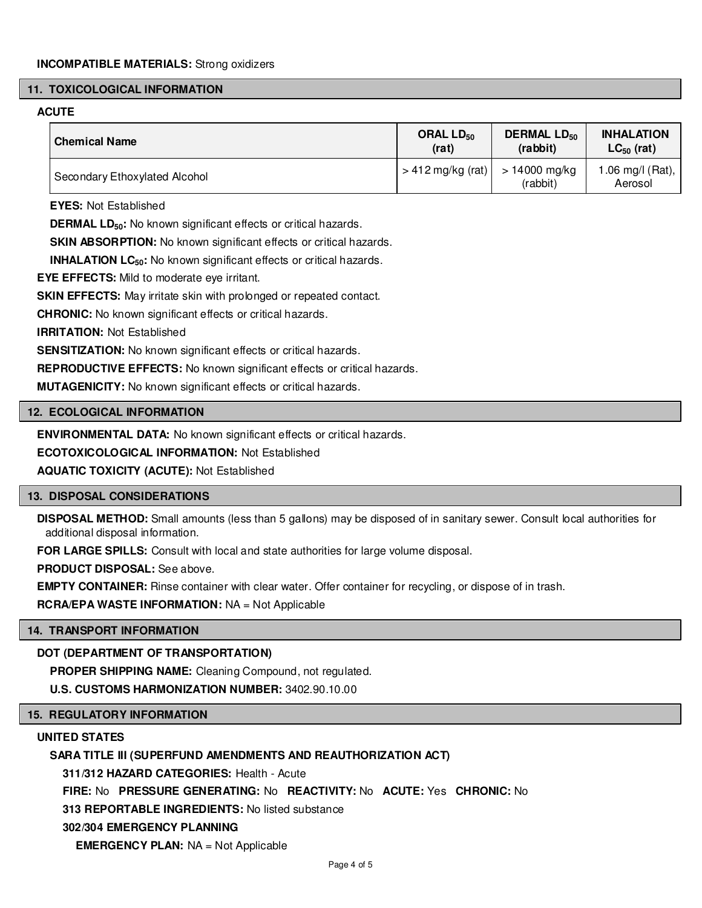#### **11. TOXICOLOGICAL INFORMATION**

#### **ACUTE**

| <b>Chemical Name</b>          | ORAL $LD_{50}$      | <b>DERMAL LD<sub>50</sub></b> | <b>INHALATION</b>           |
|-------------------------------|---------------------|-------------------------------|-----------------------------|
|                               | (rat)               | (rabbit)                      | $LC_{50}$ (rat)             |
| Secondary Ethoxylated Alcohol | $> 412$ mg/kg (rat) | > 14000 ma/ka<br>(rabbit)     | 1.06 mg/l (Rat),<br>Aerosol |

**EYES:** Not Established

**DERMAL LD**<sub>50</sub>: No known significant effects or critical hazards.

**SKIN ABSORPTION:** No known significant effects or critical hazards.

**INHALATION LC<sub>50</sub>:** No known significant effects or critical hazards.

**EYE EFFECTS:** Mild to moderate eye irritant.

**SKIN EFFECTS:** May irritate skin with prolonged or repeated contact.

**CHRONIC:** No known significant effects or critical hazards.

**IRRITATION:** Not Established

**SENSITIZATION:** No known significant effects or critical hazards.

**REPRODUCTIVE EFFECTS:** No known significant effects or critical hazards.

**MUTAGENICITY:** No known significant effects or critical hazards.

#### **12. ECOLOGICAL INFORMATION**

**ENVIRONMENTAL DATA:** No known significant effects or critical hazards.

**ECOTOXICOLOGICAL INFORMATION:** Not Established

**AQUATIC TOXICITY (ACUTE):** Not Established

#### **13. DISPOSAL CONSIDERATIONS**

**DISPOSAL METHOD:** Small amounts (less than 5 gallons) may be disposed of in sanitary sewer. Consult local authorities for additional disposal information.

**FOR LARGE SPILLS:** Consult with local and state authorities for large volume disposal.

**PRODUCT DISPOSAL:** See above.

**EMPTY CONTAINER:** Rinse container with clear water. Offer container for recycling, or dispose of in trash.

**RCRA/EPA WASTE INFORMATION:** NA = Not Applicable

#### **14. TRANSPORT INFORMATION**

**DOT (DEPARTMENT OF TRANSPORTATION)**

**PROPER SHIPPING NAME:** Cleaning Compound, not regulated.

**U.S. CUSTOMS HARMONIZATION NUMBER:** 3402.90.10.00

# **15. REGULATORY INFORMATION**

## **UNITED STATES**

#### **SARA TITLE III (SUPERFUND AMENDMENTS AND REAUTHORIZATION ACT)**

**311/312 HAZARD CATEGORIES:** Health - Acute

**FIRE:** No **PRESSURE GENERATING:** No **REACTIVITY:** No **ACUTE:** Yes **CHRONIC:** No

**313 REPORTABLE INGREDIENTS:** No listed substance

# **302/304 EMERGENCY PLANNING**

**EMERGENCY PLAN:** NA = Not Applicable